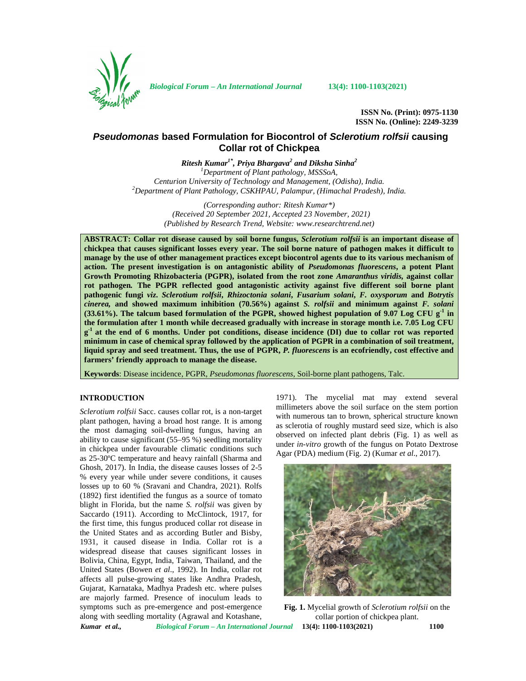

*Biological Forum – An International Journal* **13(4): 1100-1103(2021)**

**ISSN No. (Print): 0975-1130 ISSN No. (Online): 2249-3239**

# *Pseudomonas* **based Formulation for Biocontrol of** *Sclerotium rolfsii* **causing Collar rot of Chickpea**

*Ritesh Kumar1\*, Priya Bhargava<sup>2</sup> and Diksha Sinha<sup>2</sup> <sup>1</sup>Department of Plant pathology, MSSSoA, Centurion University of Technology and Management, (Odisha), India. <sup>2</sup>Department of Plant Pathology, CSKHPAU, Palampur, (Himachal Pradesh), India.*

> *(Corresponding author: Ritesh Kumar\*) (Received 20 September 2021, Accepted 23 November, 2021) (Published by Research Trend, Website: [www.researchtrend.net\)](www.researchtrend.net)*

**ABSTRACT: Collar rot disease caused by soil borne fungus,** *Sclerotium rolfsii* **is an important disease of chickpea that causes significant losses every year. The soil borne nature of pathogen makes it difficult to manage by the use of other management practices except biocontrol agents due to its various mechanism of action. The present investigation is on antagonistic ability of** *Pseudomonas fluorescens***, a potent Plant Growth Promoting Rhizobacteria (PGPR), isolated from the root zone** *Amaranthus viridis,* **against collar rot pathogen***.* **The PGPR reflected good antagonistic activity against five different soil borne plant pathogenic fungi** *viz***.** *Sclerotium rolfsii***,** *Rhizoctonia solani***,** *Fusarium solani***,** *F. oxysporum* **and** *Botrytis cinerea,* **and showed maximum inhibition (70.56%) against** *S. rolfsii* **and minimum against** *F. solani* **(33.61%). The talcum based formulation of the PGPR, showed highest population of 9.07 Log CFU g-1 in the formulation after 1 month while decreased gradually with increase in storage month i.e. 7.05 Log CFU g -1 at the end of 6 months. Under pot conditions, disease incidence (DI) due to collar rot was reported minimum in case of chemical spray followed by the application of PGPR in a combination of soil treatment, liquid spray and seed treatment. Thus, the use of PGPR,** *P. fluorescens* **is an ecofriendly, cost effective and farmers' friendly approach to manage the disease.**

**Keywords**: Disease incidence, PGPR, *Pseudomonas fluorescens*, Soil-borne plant pathogens, Talc.

## **INTRODUCTION**

*Sclerotium rolfsii* Sacc. causes collar rot, is a non-target plant pathogen, having a broad host range. It is among the most damaging soil-dwelling fungus, having an ability to cause significant (55–95 %) seedling mortality in chickpea under favourable climatic conditions such as 25-30ºC temperature and heavy rainfall (Sharma and Ghosh, 2017). In India, the disease causes losses of 2-5 % every year while under severe conditions, it causes losses up to 60 % (Sravani and Chandra, 2021). Rolfs (1892) first identified the fungus as a source of tomato blight in Florida, but the name *S. rolfsii* was given by Saccardo (1911). According to McClintock, 1917, for the first time, this fungus produced collar rot disease in the United States and as according Butler and Bisby, 1931, it caused disease in India. Collar rot is a widespread disease that causes significant losses in Bolivia, China, Egypt, India, Taiwan, Thailand, and the United States (Bowen *et al*., 1992). In India, collar rot affects all pulse-growing states like Andhra Pradesh, Gujarat, Karnataka, Madhya Pradesh etc. where pulses are majorly farmed. Presence of inoculum leads to symptoms such as pre-emergence and post-emergence along with seedling mortality (Agrawal and Kotashane,

1971). The mycelial mat may extend several millimeters above the soil surface on the stem portion with numerous tan to brown, spherical structure known as sclerotia of roughly mustard seed size, which is also observed on infected plant debris (Fig. 1) as well as under *in-vitro* growth of the fungus on Potato Dextrose Agar (PDA) medium (Fig. 2) (Kumar *et al*., 2017).



*Kumar et al., Biological Forum – An International Journal* **13(4): 1100-1103(2021) 1100 Fig. 1.** Mycelial growth of *Sclerotium rolfsii* on the collar portion of chickpea plant.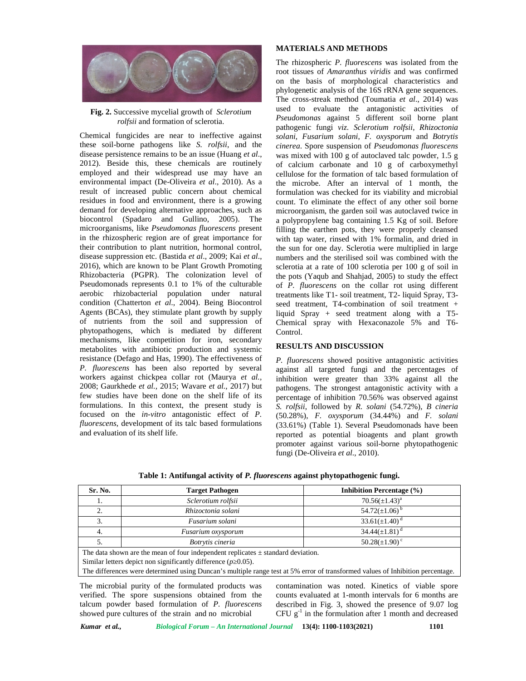

**Fig. 2.** Successive mycelial growth of *Sclerotium rolfsii* and formation of sclerotia.

Chemical fungicides are near to ineffective against these soil-borne pathogens like *S. rolfsii*, and the disease persistence remains to be an issue (Huang *et al*., 2012). Beside this, these chemicals are routinely employed and their widespread use may have an environmental impact (De-Oliveira *et al*., 2010). As a result of increased public concern about chemical residues in food and environment, there is a growing demand for developing alternative approaches, such as biocontrol (Spadaro and Gullino, 2005). The microorganisms, like *Pseudomonas fluorescens* present in the rhizospheric region are of great importance for their contribution to plant nutrition, hormonal control, disease suppression etc. (Bastida *et al*., 2009; Kai *et al*., 2016), which are known to be Plant Growth Promoting Rhizobacteria (PGPR). The colonization level of Pseudomonads represents 0.1 to 1% of the culturable aerobic rhizobacterial population under natural condition (Chatterton *et al*., 2004). Being Biocontrol Agents (BCAs), they stimulate plant growth by supply of nutrients from the soil and suppression of phytopathogens, which is mediated by different mechanisms, like competition for iron, secondary metabolites with antibiotic production and systemic resistance (Defago and Has, 1990). The effectiveness of *P. fluorescens* has been also reported by several workers against chickpea collar rot (Maurya *et al.,* 2008; Gaurkhede *et al.,* 2015; Wavare *et al.,* 2017) but few studies have been done on the shelf life of its formulations. In this context, the present study is focused on the *in-vitro* antagonistic effect of *P. fluorescens*, development of its talc based formulations and evaluation of its shelf life.

### **MATERIALS AND METHODS**

The rhizospheric *P. fluorescens* was isolated from the root tissues of *Amaranthus viridis* and was confirmed on the basis of morphological characteristics and phylogenetic analysis of the 16S rRNA gene sequences. The cross-streak method (Toumatia *et al*., 2014) was used to evaluate the antagonistic activities of *Pseudomonas* against 5 different soil borne plant pathogenic fungi *viz*. *Sclerotium rolfsii*, *Rhizoctonia solani*, *Fusarium solani*, *F. oxysporum* and *Botrytis cinerea*. Spore suspension of *Pseudomonas fluorescens* was mixed with 100 g of autoclaved talc powder, 1.5 g of calcium carbonate and 10 g of carboxymethyl cellulose for the formation of talc based formulation of the microbe. After an interval of 1 month, the formulation was checked for its viability and microbial count. To eliminate the effect of any other soil borne microorganism, the garden soil was autoclaved twice in a polypropylene bag containing 1.5 Kg of soil. Before filling the earthen pots, they were properly cleansed with tap water, rinsed with 1% formalin, and dried in the sun for one day. Sclerotia were multiplied in large numbers and the sterilised soil was combined with the sclerotia at a rate of 100 sclerotia per 100 g of soil in the pots (Yaqub and Shahjad, 2005) to study the effect of *P. fluorescens* on the collar rot using different treatments like T1- soil treatment, T2- liquid Spray, T3 seed treatment, T4-combination of soil treatment + liquid Spray + seed treatment along with a T5- Chemical spray with Hexaconazole 5% and T6- Control.

## **RESULTS AND DISCUSSION**

*P. fluorescens* showed positive antagonistic activities against all targeted fungi and the percentages of inhibition were greater than 33% against all the pathogens. The strongest antagonistic activity with a percentage of inhibition 70.56% was observed against *S. rolfsii*, followed by *R. solani* (54.72%), *B cineria* (50.28%), *F. oxysporum* (34.44%) and *F. solani* (33.61%) (Table 1). Several Pseudomonads have been reported as potential bioagents and plant growth promoter against various soil-borne phytopathogenic fungi (De-Oliveira *et al*., 2010).

**Table 1: Antifungal activity of** *P. fluorescens* **against phytopathogenic fungi.**

| Sr. No.                                                                           | <b>Target Pathogen</b> | <b>Inhibition Percentage (%)</b> |
|-----------------------------------------------------------------------------------|------------------------|----------------------------------|
| 1.                                                                                | Sclerotium rolfsii     | $70.56(\pm 1.43)^a$              |
| 2.                                                                                | Rhizoctonia solani     | 54.72( $\pm$ 1.06) <sup>b</sup>  |
| 3.                                                                                | Fusarium solani        | $33.61(\pm1.40)^d$               |
| 4.                                                                                | Fusarium oxysporum     | $34.44(\pm 1.81)^d$              |
| C.                                                                                | Botrytis cineria       | $50.28(\pm 1.90)^{\circ}$        |
| The data shown are the mean of four independent replicates $+$ standard deviation |                        |                                  |

 $t$  shown are the mean of four independent replicates  $\pm$  standard deviation.

Similar letters depict non significantly difference  $(p\;0.05)$ .

The differences were determined using Duncan's multiple range test at 5% error of transformed values of Inhibition percentage.

The microbial purity of the formulated products was verified. The spore suspensions obtained from the talcum powder based formulation of *P. fluorescens* showed pure cultures of the strain and no microbial

contamination was noted. Kinetics of viable spore counts evaluated at 1-month intervals for 6 months are described in Fig. 3, showed the presence of 9.07 log CFU  $g^{-1}$  in the formulation after 1 month and decreased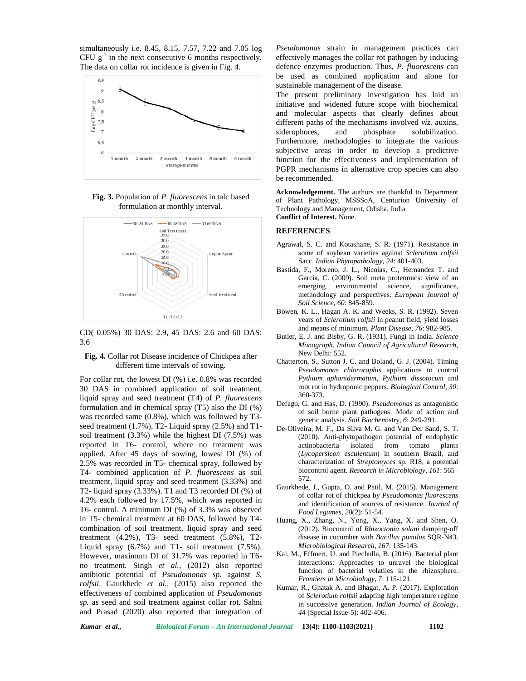simultaneously i.e. 8.45, 8.15, 7.57, 7.22 and 7.05 log CFU  $g^{-1}$  in the next consecutive 6 months respectively. The data on collar rot incidence is given in Fig. 4.



**Fig. 3.** Population of *P. fluorescens* in talc based formulation at monthly interval.



CD( 0.05%) 30 DAS: 2.9, 45 DAS: 2.6 and 60 DAS: 3.6

#### **Fig. 4.** Collar rot Disease incidence of Chickpea after different time intervals of sowing.

For collar rot, the lowest DI (%) i.e. 0.8% was recorded 30 DAS in combined application of soil treatment, liquid spray and seed treatment (T4) of *P. fluorescens* formulation and in chemical spray (T5) also the DI (%) was recorded same (0.8%), which was followed by T3 seed treatment (1.7%), T2- Liquid spray (2.5%) and T1 soil treatment (3.3%) while the highest DI (7.5%) was reported in T6- control, where no treatment was applied. After 45 days of sowing, lowest DI (%) of 2.5% was recorded in T5- chemical spray, followed by T4- combined application of *P. fluorescens* as soil treatment, liquid spray and seed treatment (3.33%) and T2- liquid spray (3.33%). T1 and T3 recorded DI (%) of 4.2% each followed by 17.5%, which was reported in T6- control. A minimum DI (%) of 3.3% was observed in T5- chemical treatment at 60 DAS, followed by T4 combination of soil treatment, liquid spray and seed treatment  $(4.2\%)$ , T3- seed treatment  $(5.8\%)$ , T2-Liquid spray (6.7%) and T1- soil treatment (7.5%). However, maximum DI of 31.7% was reported in T6 no treatment. Singh *et al.,* (2012) also reported antibiotic potential of *Pseudomonas sp.* against *S. rolfsii*. Gaurkhede *et al.,* (2015) also reported the effectiveness of combined application of *Pseudomonas sp.* as seed and soil treatment against collar rot. Sahni and Prasad (2020) also reported that integration of

*Pseudomonas* strain in management practices can effectively manages the collar rot pathogen by inducing defence enzymes production. Thus, *P. fluorescens* can be used as combined application and alone for sustainable management of the disease.

The present preliminary investigation has laid an initiative and widened future scope with biochemical and molecular aspects that clearly defines about different paths of the mechanisms involved *viz.* auxins, siderophores, and phosphate solubilization. Furthermore, methodologies to integrate the various subjective areas in order to develop a predictive function for the effectiveness and implementation of PGPR mechanisms in alternative crop species can also be recommended.

**Acknowledgement.** The authors are thankful to Department of Plant Pathology, MSSSoA, Centurion University of Technology and Management, Odisha, India **Conflict of Interest.** None.

#### **REFERENCES**

- Agrawal, S. C. and Kotashane, S. R. (1971). Resistance in some of soybean varieties against *Sclerotium rolfsii* Sacc. *Indian Phytopathology, 24*: 401-403.
- Bastida, F., Moreno, J. L., Nicolas, C., Hernandez T. and Garcia, C. (2009). Soil meta proteomics: view of an emerging environmental science, significance, methodology and perspectives. *European Journal of Soil Science, 60*: 845-859.
- Bowen, K. L., Hagan A. K. and Weeks, S. R. (1992). Seven years of *Sclerotium rolfsii* in peanut field; yield losses and means of minimum*. Plant Disease, 76*: 982-985.
- Butler, E. J. and Bisby, G. R. (1931). Fungi in India. *Science Monograph, Indian Council of Agricultural Research,* New Delhi: 552.
- Chatterton, S., Sutton J. C. and Boland, G. J. (2004). Timing *Pseudomonas chlororaphis* applications to control *Pythium aphanidermatum*, *Pythium dissotocum* and root rot in hydroponic peppers. *Biological Control*, *30*: 360-373.
- Defago, G. and Has, D. (1990). *Pseudomonas* as antagonistic of soil borne plant pathogens: Mode of action and genetic analysis. *Soil Biochem*istry, *6*: 249-291.
- De-Oliveira, M. F., Da Silva M. G. and Van Der Sand, S. T. (2010). Anti-phytopathogen potential of endophytic actinobacteria isolated from tomato (*Lycopersicon esculentum*) in southern Brazil, and characterization of *Streptomyces* sp. R18, a potential biocontrol agent. *Research in Microbiology*, *161*: 565– 572.
- Gaurkhede, J., Gupta, O. and Patil, M. (2015). Management of collar rot of chickpea by *Pseudomonas fluorescens* and identification of sources of resistance. *Journal of Food Legumes, 28*(2): 51-54.
- Huang, X., Zhang, N., Yong, X., Yang, X. and Shen, O. (2012). Biocontrol of *Rhizoctonia solani* damping-off disease in cucumber with *Bacillus pumilus* SQR-N43. *Microbiological Research*, *167*: 135-143.
- Kai, M., Effmert, U. and Piechulla, B. (2016). Bacterial plant interactions: Approaches to unravel the biological function of bacterial volatiles in the rhizosphere*. Frontiers in Microbiology*, *7*: 115-121.
- Kumar, R., Ghatak A. and Bhagat, A. P. (2017). Exploration of *Sclerotium rolfsii* adapting high temperature regime in successive generation. *Indian Journal of Ecology*, *44* (Special Issue-5): 402-406.

*Kumar et al., Biological Forum – An International Journal* **13(4): 1100-1103(2021) 1102**